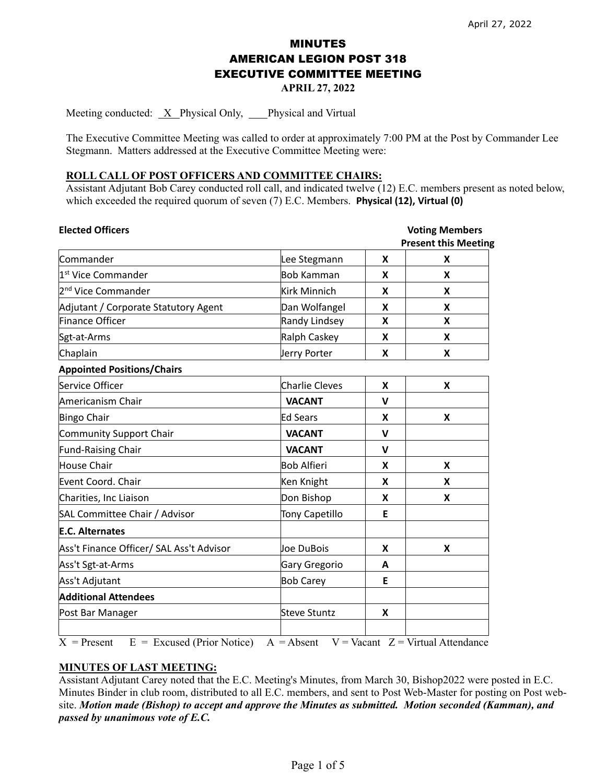# MINUTES AMERICAN LEGION POST 318 EXECUTIVE COMMITTEE MEETING

**APRIL 27, 2022** 

Meeting conducted: X Physical Only, Physical and Virtual

The Executive Committee Meeting was called to order at approximately 7:00 PM at the Post by Commander Lee Stegmann. Matters addressed at the Executive Committee Meeting were:

## **ROLL CALL OF POST OFFICERS AND COMMITTEE CHAIRS:**

Assistant Adjutant Bob Carey conducted roll call, and indicated twelve (12) E.C. members present as noted below, which exceeded the required quorum of seven (7) E.C. Members. **Physical (12), Virtual (0)**

| <b>Elected Officers</b>                       |                       | <b>Voting Members</b> |                                     |
|-----------------------------------------------|-----------------------|-----------------------|-------------------------------------|
|                                               |                       |                       | <b>Present this Meeting</b>         |
| Commander                                     | Lee Stegmann          | X                     | X                                   |
| 1 <sup>st</sup> Vice Commander                | <b>Bob Kamman</b>     | X                     | X                                   |
| 2 <sup>nd</sup> Vice Commander                | <b>Kirk Minnich</b>   | X                     | X                                   |
| Adjutant / Corporate Statutory Agent          | Dan Wolfangel         | X                     | X                                   |
| Finance Officer                               | Randy Lindsey         | X                     | X                                   |
| Sgt-at-Arms                                   | Ralph Caskey          | X                     | X                                   |
| Chaplain                                      | Jerry Porter          | X                     | X                                   |
| <b>Appointed Positions/Chairs</b>             |                       |                       |                                     |
| Service Officer                               | <b>Charlie Cleves</b> | X                     | X                                   |
| Americanism Chair                             | <b>VACANT</b>         | $\mathsf{V}$          |                                     |
| <b>Bingo Chair</b>                            | <b>Ed Sears</b>       | X                     | X                                   |
| Community Support Chair                       | <b>VACANT</b>         | $\mathbf v$           |                                     |
| <b>Fund-Raising Chair</b>                     | <b>VACANT</b>         | $\mathbf v$           |                                     |
| House Chair                                   | <b>Bob Alfieri</b>    | X                     | X                                   |
| Event Coord. Chair                            | Ken Knight            | X                     | x                                   |
| Charities, Inc Liaison                        | Don Bishop            | X                     | X                                   |
| SAL Committee Chair / Advisor                 | <b>Tony Capetillo</b> | E                     |                                     |
| <b>E.C. Alternates</b>                        |                       |                       |                                     |
| Ass't Finance Officer/ SAL Ass't Advisor      | Joe DuBois            | X                     | X                                   |
| Ass't Sgt-at-Arms                             | Gary Gregorio         | A                     |                                     |
| Ass't Adjutant                                | <b>Bob Carey</b>      | E                     |                                     |
| <b>Additional Attendees</b>                   |                       |                       |                                     |
| Post Bar Manager                              | <b>Steve Stuntz</b>   | X                     |                                     |
| $E =$ Excused (Prior Notice)<br>$X =$ Present | $A = Absent$          |                       | $V = Vacant$ Z = Virtual Attendance |

#### **MINUTES OF LAST MEETING:**

Assistant Adjutant Carey noted that the E.C. Meeting's Minutes, from March 30, Bishop2022 were posted in E.C. Minutes Binder in club room, distributed to all E.C. members, and sent to Post Web-Master for posting on Post website. *Motion made (Bishop) to accept and approve the Minutes as submitted. Motion seconded (Kamman), and passed by unanimous vote of E.C.*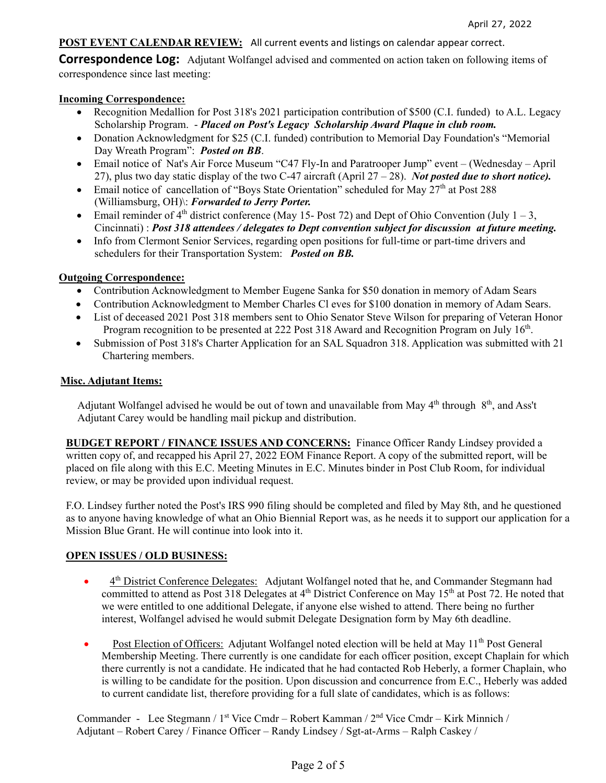## **POST EVENT CALENDAR REVIEW:** All current events and listings on calendar appear correct.

**Correspondence Log:** Adjutant Wolfangel advised and commented on action taken on following items of correspondence since last meeting:

## **Incoming Correspondence:**

- Recognition Medallion for Post 318's 2021 participation contribution of \$500 (C.I. funded) to A.L. Legacy Scholarship Program. - *Placed on Post's Legacy Scholarship Award Plaque in club room.*
- Donation Acknowledgment for \$25 (C.I. funded) contribution to Memorial Day Foundation's "Memorial Day Wreath Program": *Posted on BB*.
- Email notice of Nat's Air Force Museum "C47 Fly-In and Paratrooper Jump" event (Wednesday April 27), plus two day static display of the two C-47 aircraft (April 27 – 28). *Not posted due to short notice).*
- Email notice of cancellation of "Boys State Orientation" scheduled for May  $27<sup>th</sup>$  at Post 288 (Williamsburg, OH)\: *Forwarded to Jerry Porter.*
- Email reminder of  $4<sup>th</sup>$  district conference (May 15- Post 72) and Dept of Ohio Convention (July 1 3, Cincinnati) : *Post 318 attendees / delegates to Dept convention subject for discussion at future meeting.*
- Info from Clermont Senior Services, regarding open positions for full-time or part-time drivers and schedulers for their Transportation System: *Posted on BB.*

## **Outgoing Correspondence:**

- Contribution Acknowledgment to Member Eugene Sanka for \$50 donation in memory of Adam Sears
- Contribution Acknowledgment to Member Charles Cl eves for \$100 donation in memory of Adam Sears.
- List of deceased 2021 Post 318 members sent to Ohio Senator Steve Wilson for preparing of Veteran Honor Program recognition to be presented at 222 Post 318 Award and Recognition Program on July  $16<sup>th</sup>$ .
- Submission of Post 318's Charter Application for an SAL Squadron 318. Application was submitted with 21 Chartering members.

## **Misc. Adjutant Items:**

Adjutant Wolfangel advised he would be out of town and unavailable from May 4<sup>th</sup> through 8<sup>th</sup>, and Ass't Adjutant Carey would be handling mail pickup and distribution.

**BUDGET REPORT / FINANCE ISSUES AND CONCERNS:** Finance Officer Randy Lindsey provided a written copy of, and recapped his April 27, 2022 EOM Finance Report. A copy of the submitted report, will be placed on file along with this E.C. Meeting Minutes in E.C. Minutes binder in Post Club Room, for individual review, or may be provided upon individual request.

F.O. Lindsey further noted the Post's IRS 990 filing should be completed and filed by May 8th, and he questioned as to anyone having knowledge of what an Ohio Biennial Report was, as he needs it to support our application for a Mission Blue Grant. He will continue into look into it.

## **OPEN ISSUES / OLD BUSINESS:**

- <sup>4th</sup> District Conference Delegates: Adjutant Wolfangel noted that he, and Commander Stegmann had committed to attend as Post 318 Delegates at 4<sup>th</sup> District Conference on May 15<sup>th</sup> at Post 72. He noted that we were entitled to one additional Delegate, if anyone else wished to attend. There being no further interest, Wolfangel advised he would submit Delegate Designation form by May 6th deadline.
- Post Election of Officers: Adjutant Wolfangel noted election will be held at May  $11^{th}$  Post General Membership Meeting. There currently is one candidate for each officer position, except Chaplain for which there currently is not a candidate. He indicated that he had contacted Rob Heberly, a former Chaplain, who is willing to be candidate for the position. Upon discussion and concurrence from E.C., Heberly was added to current candidate list, therefore providing for a full slate of candidates, which is as follows:

 Commander - Lee Stegmann / 1st Vice Cmdr – Robert Kamman / 2nd Vice Cmdr – Kirk Minnich / Adjutant – Robert Carey / Finance Officer – Randy Lindsey / Sgt-at-Arms – Ralph Caskey /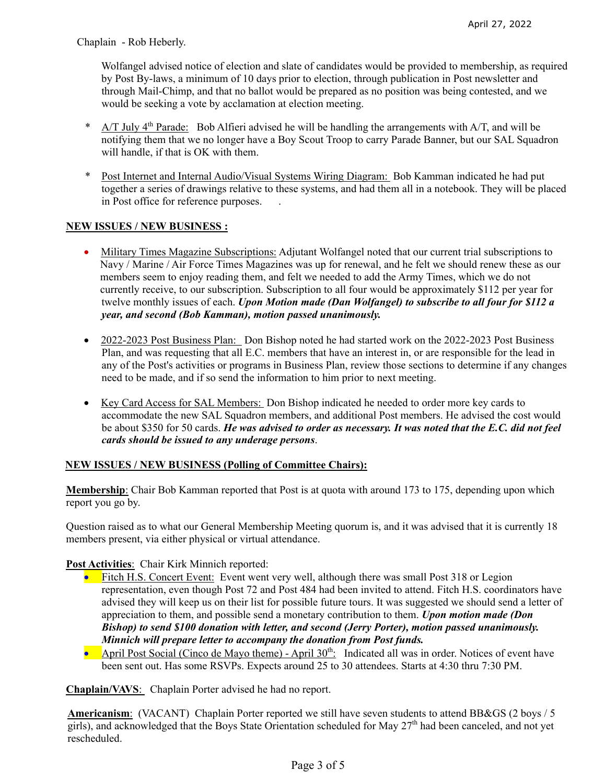Chaplain - Rob Heberly.

 Wolfangel advised notice of election and slate of candidates would be provided to membership, as required by Post By-laws, a minimum of 10 days prior to election, through publication in Post newsletter and through Mail-Chimp, and that no ballot would be prepared as no position was being contested, and we would be seeking a vote by acclamation at election meeting.

- $A/T$  July 4<sup>th</sup> Parade: Bob Alfieri advised he will be handling the arrangements with A/T, and will be notifying them that we no longer have a Boy Scout Troop to carry Parade Banner, but our SAL Squadron will handle, if that is OK with them.
- \* Post Internet and Internal Audio/Visual Systems Wiring Diagram: Bob Kamman indicated he had put together a series of drawings relative to these systems, and had them all in a notebook. They will be placed in Post office for reference purposes. .

## **NEW ISSUES / NEW BUSINESS :**

- Military Times Magazine Subscriptions: Adjutant Wolfangel noted that our current trial subscriptions to Navy / Marine / Air Force Times Magazines was up for renewal, and he felt we should renew these as our members seem to enjoy reading them, and felt we needed to add the Army Times, which we do not currently receive, to our subscription. Subscription to all four would be approximately \$112 per year for twelve monthly issues of each. *Upon Motion made (Dan Wolfangel) to subscribe to all four for \$112 a year, and second (Bob Kamman), motion passed unanimously.*
- 2022-2023 Post Business Plan: Don Bishop noted he had started work on the 2022-2023 Post Business Plan, and was requesting that all E.C. members that have an interest in, or are responsible for the lead in any of the Post's activities or programs in Business Plan, review those sections to determine if any changes need to be made, and if so send the information to him prior to next meeting.
- Key Card Access for SAL Members: Don Bishop indicated he needed to order more key cards to accommodate the new SAL Squadron members, and additional Post members. He advised the cost would be about \$350 for 50 cards. *He was advised to order as necessary. It was noted that the E.C. did not feel cards should be issued to any underage persons*.

## **NEW ISSUES / NEW BUSINESS (Polling of Committee Chairs):**

**Membership**: Chair Bob Kamman reported that Post is at quota with around 173 to 175, depending upon which report you go by.

Question raised as to what our General Membership Meeting quorum is, and it was advised that it is currently 18 members present, via either physical or virtual attendance.

## **Post Activities**: Chair Kirk Minnich reported:

- Fitch H.S. Concert Event: Event went very well, although there was small Post 318 or Legion representation, even though Post 72 and Post 484 had been invited to attend. Fitch H.S. coordinators have advised they will keep us on their list for possible future tours. It was suggested we should send a letter of appreciation to them, and possible send a monetary contribution to them. *Upon motion made (Don Bishop) to send \$100 donation with letter, and second (Jerry Porter), motion passed unanimously. Minnich will prepare letter to accompany the donation from Post funds.*
- April Post Social (Cinco de Mayo theme) April  $30^{th}$ : Indicated all was in order. Notices of event have been sent out. Has some RSVPs. Expects around 25 to 30 attendees. Starts at 4:30 thru 7:30 PM.

**Chaplain/VAVS**: Chaplain Porter advised he had no report.

**Americanism**: (VACANT) Chaplain Porter reported we still have seven students to attend BB&GS (2 boys / 5 girls), and acknowledged that the Boys State Orientation scheduled for May 27th had been canceled, and not yet rescheduled.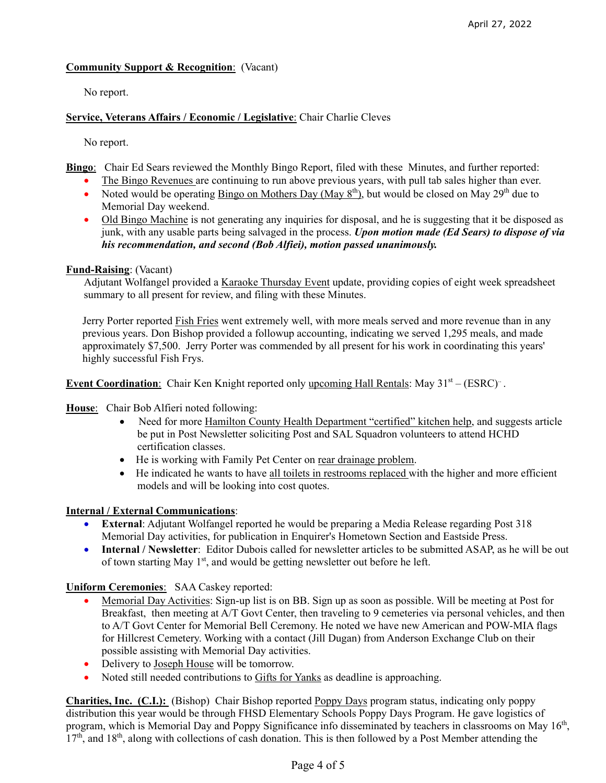## **Community Support & Recognition**: (Vacant)

No report.

## **Service, Veterans Affairs / Economic / Legislative**: Chair Charlie Cleves

No report.

**Bingo**: Chair Ed Sears reviewed the Monthly Bingo Report, filed with these Minutes, and further reported:

- The Bingo Revenues are continuing to run above previous years, with pull tab sales higher than ever.
- Noted would be operating Bingo on Mothers Day (May  $8^{th}$ ), but would be closed on May  $29^{th}$  due to Memorial Day weekend.
- Old Bingo Machine is not generating any inquiries for disposal, and he is suggesting that it be disposed as junk, with any usable parts being salvaged in the process. *Upon motion made (Ed Sears) to dispose of via his recommendation, and second (Bob Alfiei), motion passed unanimously.*

## **Fund-Raising**: (Vacant)

Adjutant Wolfangel provided a Karaoke Thursday Event update, providing copies of eight week spreadsheet summary to all present for review, and filing with these Minutes.

 Jerry Porter reported Fish Fries went extremely well, with more meals served and more revenue than in any previous years. Don Bishop provided a followup accounting, indicating we served 1,295 meals, and made approximately \$7,500. Jerry Porter was commended by all present for his work in coordinating this years' highly successful Fish Frys.

**Event Coordination**: Chair Ken Knight reported only upcoming Hall Rentals: May  $31<sup>st</sup> - (ESRC)<sup>+</sup>$ .

## **House**: Chair Bob Alfieri noted following:

- Need for more Hamilton County Health Department "certified" kitchen help, and suggests article be put in Post Newsletter soliciting Post and SAL Squadron volunteers to attend HCHD certification classes.
- He is working with Family Pet Center on rear drainage problem.
- He indicated he wants to have all toilets in restrooms replaced with the higher and more efficient models and will be looking into cost quotes.

## **Internal / External Communications**:

- **External**: Adjutant Wolfangel reported he would be preparing a Media Release regarding Post 318 Memorial Day activities, for publication in Enquirer's Hometown Section and Eastside Press.
- **Internal / Newsletter**: Editor Dubois called for newsletter articles to be submitted ASAP, as he will be out of town starting May  $1<sup>st</sup>$ , and would be getting newsletter out before he left.

**Uniform Ceremonies**: SAA Caskey reported:

- Memorial Day Activities: Sign-up list is on BB. Sign up as soon as possible. Will be meeting at Post for Breakfast, then meeting at A/T Govt Center, then traveling to 9 cemeteries via personal vehicles, and then to A/T Govt Center for Memorial Bell Ceremony. He noted we have new American and POW-MIA flags for Hillcrest Cemetery. Working with a contact (Jill Dugan) from Anderson Exchange Club on their possible assisting with Memorial Day activities.
- Delivery to Joseph House will be tomorrow.
- Noted still needed contributions to Gifts for Yanks as deadline is approaching.

**Charities, Inc. (C.I.):** (Bishop) Chair Bishop reported Poppy Days program status, indicating only poppy distribution this year would be through FHSD Elementary Schools Poppy Days Program. He gave logistics of program, which is Memorial Day and Poppy Significance info disseminated by teachers in classrooms on May  $16<sup>th</sup>$ ,  $17<sup>th</sup>$ , and  $18<sup>th</sup>$ , along with collections of cash donation. This is then followed by a Post Member attending the